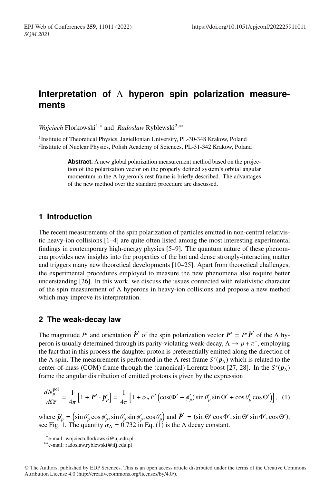# **Interpretation of** Λ **hyperon spin polarization measurements**

*Wojciech* Florkowski<sup>1,∗</sup> and *Radoslaw* Ryblewski<sup>2,</sup>\*\*

<sup>1</sup> Institute of Theoretical Physics, Jagiellonian University, PL-30-348 Krakow, Poland 2Institute of Nuclear Physics, Polish Academy of Sciences, PL-31-342 Krakow, Poland

> **Abstract.** A new global polarization measurement method based on the projection of the polarization vector on the properly defined system's orbital angular momentum in the  $\Lambda$  hyperon's rest frame is briefly described. The advantages of the new method over the standard procedure are discussed.

# **1 Introduction**

The recent measurements of the spin polarization of particles emitted in non-central relativistic heavy-ion collisions [1–4] are quite often listed among the most interesting experimental findings in contemporary high-energy physics [5–9]. The quantum nature of these phenomena provides new insights into the properties of the hot and dense strongly-interacting matter and triggers many new theoretical developments [10–25]. Apart from theoretical challenges, the experimental procedures employed to measure the new phenomena also require better understanding [26]. In this work, we discuss the issues connected with relativistic character of the spin measurement of  $\Lambda$  hyperons in heavy-ion collisions and propose a new method which may improve its interpretation.

## **2 The weak-decay law**

The magnitude P' and orientation  $\hat{P}'$  of the spin polarization vector  $P' = P' \hat{P}'$  of the  $\Lambda$  hyperon is usually determined through its parity-violating weak-decay,  $\Lambda \rightarrow p + \pi^{-}$ , employing the fact that in this process the daughter proton is preferentially emitted along the direction of the Λ spin. The measurement is performed in the Λ rest frame  $S'(p_\Lambda)$  which is related to the center-of-mass (COM) frame through the (canonical) Lorentz boost [27, 28]. In the *S'*( $p$ <sub>Λ</sub>) frame the angular distribution of emitted protons is given by the expression

$$
\frac{dN_p^{\text{pol}}}{d\Omega'} = \frac{1}{4\pi} \left[ 1 + \boldsymbol{P}' \cdot \hat{\boldsymbol{p}}_p' \right] = \frac{1}{4\pi} \left[ 1 + \alpha_\Lambda P' \left( \cos(\Phi' - \phi'_p) \sin \theta'_p \sin \Theta' + \cos \theta'_p \cos \Theta' \right) \right], \tag{1}
$$

where  $\hat{\boldsymbol{p}}'_{p} = (\sin \theta'_{p} \cos \phi'_{p}, \sin \theta'_{p} \sin \phi'_{p}, \cos \theta'_{p})$  and  $\hat{\boldsymbol{P}}' = (\sin \Theta' \cos \Phi', \sin \Theta' \sin \Phi', \cos \Theta'),$ see Fig. 1. The quantity  $\alpha_{\Lambda} = 0.732$  in Eq. (1) is the  $\Lambda$  decay constant.

© The Authors, published by EDP Sciences. This is an open access article distributed under the terms of the Creative Commons Attribution License 4.0 (http://creativecommons.org/licenses/by/4.0/).

<sup>∗</sup>e-mail: wojciech.florkowski@uj.edu.pl

<sup>∗∗</sup>e-mail: radoslaw.ryblewski@ifj.edu.pl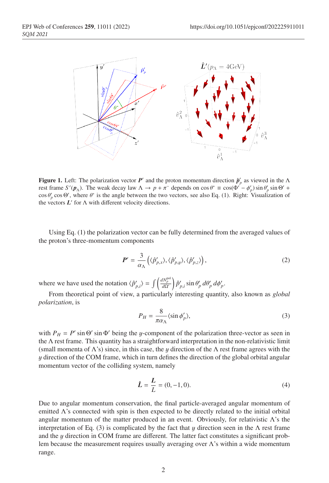

**Figure 1.** Left: The polarization vector  $P'$  and the proton momentum direction  $\hat{p}'_p$  as viewed in the  $\Lambda$ rest frame *S'*( $\mathbf{p}_{\Lambda}$ ). The weak decay law  $\Lambda \to p + \pi^-$  depends on cos  $\theta^* \equiv \cos(\Phi' - \phi'_p) \sin \theta'_p \sin \Theta' + \pi^ \cos \theta_p' \cos \Theta'$ , where  $\theta^*$  is the angle between the two vectors, see also Eq. (1). Right: Visualization of the vectors  $L'$  for  $\Lambda$  with different velocity directions.

Using Eq. (1) the polarization vector can be fully determined from the averaged values of the proton's three-momentum components

$$
\boldsymbol{P}' = \frac{3}{\alpha_{\Lambda}} \left( \langle \hat{p}'_{p,x} \rangle, \langle \hat{p}'_{p,y} \rangle, \langle \hat{p}'_{p,z} \rangle \right), \tag{2}
$$

where we have used the notation  $\langle \hat{p}'_{p,i} \rangle = \int \left( \frac{dN_p^{\text{pol}}}{d\Omega'} \right)$  $\int \hat{p}'_{p,i} \sin \theta'_p d\theta'_p d\phi'_p$ .

From theoretical point of view, a particularly interesting quantity, also known as *global polarization*, is

$$
P_H = \frac{8}{\pi \alpha_\Lambda} \langle \sin \phi'_p \rangle,\tag{3}
$$

with  $P_H = P' \sin \Theta' \sin \Phi'$  being the y-component of the polarization three-vector as seen in the Λ rest frame. This quantity has a straightforward interpretation in the non-relativistic limit (small momenta of  $\Lambda$ 's) since, in this case, the y direction of the  $\Lambda$  rest frame agrees with the y direction of the COM frame, which in turn defines the direction of the global orbital angular momentum vector of the colliding system, namely

$$
\hat{L} = \frac{L}{L} = (0, -1, 0). \tag{4}
$$

Due to angular momentum conservation, the final particle-averaged angular momentum of emitted  $\Lambda$ 's connected with spin is then expected to be directly related to the initial orbital angular momentum of the matter produced in an event. Obviously, for relativistic Λ's the interpretation of Eq. (3) is complicated by the fact that  $\gamma$  direction seen in the  $\Lambda$  rest frame and the  $y$  direction in COM frame are different. The latter fact constitutes a significant problem because the measurement requires usually averaging over Λ's within a wide momentum range.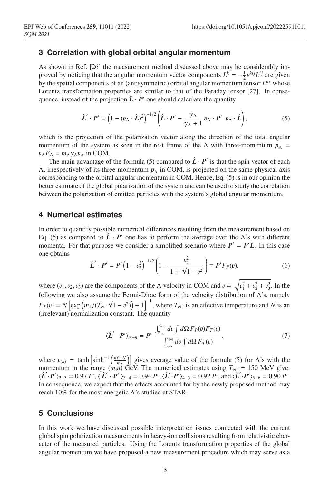### **3 Correlation with global orbital angular momentum**

As shown in Ref. [26] the measurement method discussed above may be considerably improved by noticing that the angular momentum vector components  $L^k = -\frac{1}{2} \epsilon^{kij} L^{ij}$  are given by the spatial components of an (antisymmetric) orbital angular momentum tensor  $L^{\mu\nu}$  whose Lorentz transformation properties are similar to that of the Faraday tensor [27]. In consequence, instead of the projection  $\hat{L} \cdot P'$  one should calculate the quantity

$$
\hat{\boldsymbol{L}}' \cdot \boldsymbol{P}' = \left(1 - (\boldsymbol{v}_{\Lambda} \cdot \hat{\boldsymbol{L}})^2\right)^{-1/2} \left(\hat{\boldsymbol{L}} \cdot \boldsymbol{P}' - \frac{\gamma_{\Lambda}}{\gamma_{\Lambda} + 1} \boldsymbol{v}_{\Lambda} \cdot \boldsymbol{P}' \boldsymbol{v}_{\Lambda} \cdot \hat{\boldsymbol{L}}\right),\tag{5}
$$

which is the projection of the polarization vector along the direction of the total angular momentum of the system as seen in the rest frame of the  $\Lambda$  with three-momentum  $p_{\Lambda}$  =  $v_{\Lambda}E_{\Lambda} = m_{\Lambda}\gamma_{\Lambda}v_{\Lambda}$  in COM.

The main advantage of the formula (5) compared to  $\hat{L} \cdot P'$  is that the spin vector of each  $Λ$ , irrespectively of its three-momentum  $p<sub>Λ</sub>$  in COM, is projected on the same physical axis corresponding to the orbital angular momentum in COM. Hence, Eq. (5) is in our opinion the better estimate of the global polarization of the system and can be used to study the correlation between the polarization of emitted particles with the system's global angular momentum.

#### **4 Numerical estimates**

In order to quantify possible numerical differences resulting from the measurement based on Eq. (5) as compared to  $\hat{L} \cdot P'$  one has to perform the average over the  $\Lambda$ 's with different momenta. For that purpose we consider a simplified scenario where  $P' = P' \hat{L}$ . In this case one obtains

$$
\hat{L}' \cdot P' = P' \left( 1 - v_2^2 \right)^{-1/2} \left( 1 - \frac{v_2^2}{1 + \sqrt{1 - v^2}} \right) \equiv P' F_P(v). \tag{6}
$$

where  $(v_1, v_2, v_3)$  are the components of the  $\Lambda$  velocity in COM and  $v = \sqrt{v_1^2 + v_2^2 + v_3^2}$ . In the following we also assume the Fermi-Dirac form of the velocity distribution of  $\Lambda$ 's, namely  $F_T(v) = N \left[ exp \left( m_\lambda / (T_{\text{eff}} \sqrt{1 - v^2}) \right) + 1 \right]^{-1}$ , where  $T_{\text{eff}}$  is an effective temperature and *N* is an (irrelevant) normalization constant. The quantity

$$
\langle \hat{\boldsymbol{L}}' \cdot \boldsymbol{P}' \rangle_{m-n} = \boldsymbol{P}' \frac{\int_{v_{(m)}}^{v_{(m)}} dv \int d\Omega \, F_{\boldsymbol{P}}(\boldsymbol{v}) F_{\boldsymbol{T}}(\boldsymbol{v})}{\int_{v_{(m)}}^{v_{(m)}} dv \int d\Omega \, F_{\boldsymbol{T}}(\boldsymbol{v})},\tag{7}
$$

where  $v_{(n)} = \tanh \left[\sinh^{-1} \left(\frac{n \text{ GeV}}{m_{\Lambda}}\right)\right]$  gives average value of the formula (5) for  $\Lambda$ 's with the momentum in the range  $(m,n)$  GeV. The numerical estimates using  $T_{\text{eff}} = 150$  MeV give:  $\langle \hat{L}' \cdot P' \rangle_{2-3} = 0.97 \ P'$ ,  $\langle \hat{L}' \cdot P' \rangle_{3-4} = 0.94 \ P'$ ,  $\langle \hat{L}' \cdot P' \rangle_{4-5} = 0.92 \ P'$ , and  $\langle \hat{L}' \cdot P' \rangle_{5-6} = 0.90 \ P'$ . In consequence, we expect that the effects accounted for by the newly proposed method may reach 10% for the most energetic Λ's studied at STAR.

# **5 Conclusions**

In this work we have discussed possible interpretation issues connected with the current global spin polarization measurements in heavy-ion collisions resulting from relativistic character of the measured particles. Using the Lorentz transformation properties of the global angular momentum we have proposed a new measurement procedure which may serve as a